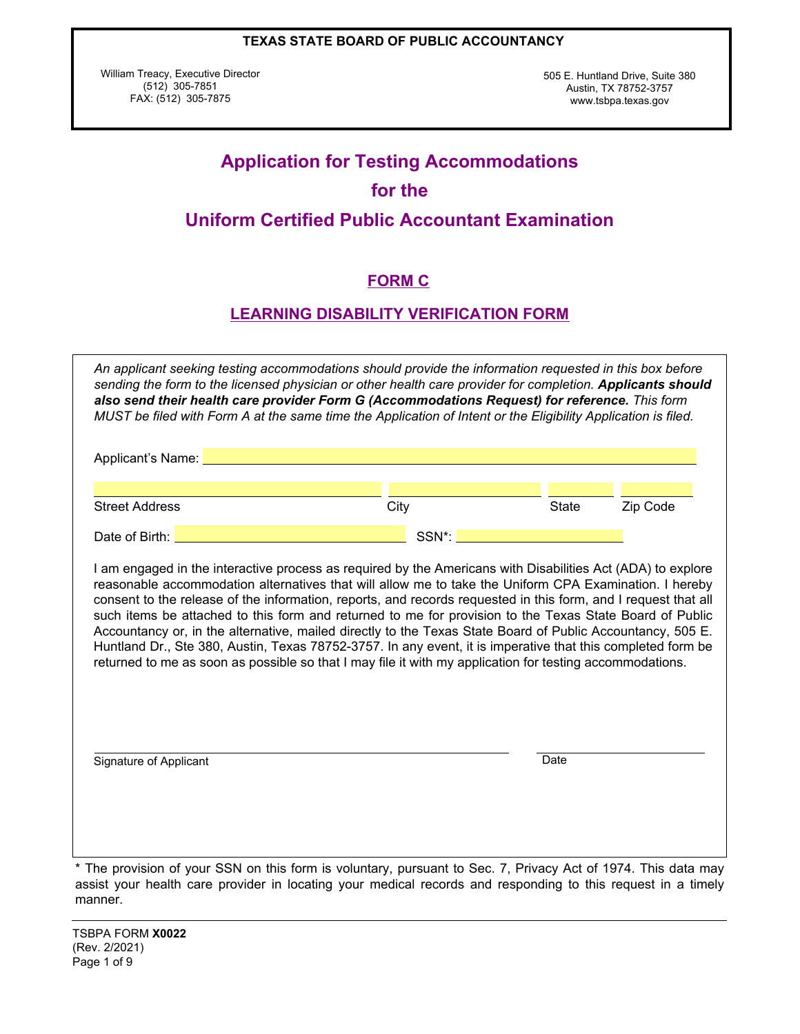William Treacy, Executive Director (512) 305-7851 FAX: (512) 305-7875

505 E. Huntland Drive, Suite 380 Austin, TX 78752-3757 www.tsbpa.texas.gov

# **Application for Testing Accommodations for the Uniform Certified Public Accountant Examination**

# **FORM C**

# **LEARNING DISABILITY VERIFICATION FORM**

|                       | Applicant's Name: Name: Name: Name and Applicant's Name: Name and Applicant is not a series of the Applicant of the Applicant is not a series of the Applicant of the Applicant of the Applicant of the Applicant of the Appli                                                                                                                                                                                                                   |       |          |
|-----------------------|--------------------------------------------------------------------------------------------------------------------------------------------------------------------------------------------------------------------------------------------------------------------------------------------------------------------------------------------------------------------------------------------------------------------------------------------------|-------|----------|
| <b>Street Address</b> | City                                                                                                                                                                                                                                                                                                                                                                                                                                             | State | Zip Code |
| Date of Birth:        | SSN <sup>*</sup> :                                                                                                                                                                                                                                                                                                                                                                                                                               |       |          |
|                       | I am engaged in the interactive process as required by the Americans with Disabilities Act (ADA) to explore                                                                                                                                                                                                                                                                                                                                      |       |          |
|                       | reasonable accommodation alternatives that will allow me to take the Uniform CPA Examination. I hereby<br>consent to the release of the information, reports, and records requested in this form, and I request that all                                                                                                                                                                                                                         |       |          |
|                       | such items be attached to this form and returned to me for provision to the Texas State Board of Public<br>Accountancy or, in the alternative, mailed directly to the Texas State Board of Public Accountancy, 505 E.<br>Huntland Dr., Ste 380, Austin, Texas 78752-3757. In any event, it is imperative that this completed form be<br>returned to me as soon as possible so that I may file it with my application for testing accommodations. |       |          |

The provision of your SSN on this form is voluntary, pursuant to Sec. 7, Privacy Act of 1974. This data may assist your health care provider in locating your medical records and responding to this request in a timely manner.

TSBPA FORM **X0022** (Rev. 2/2021) Page 1 of 9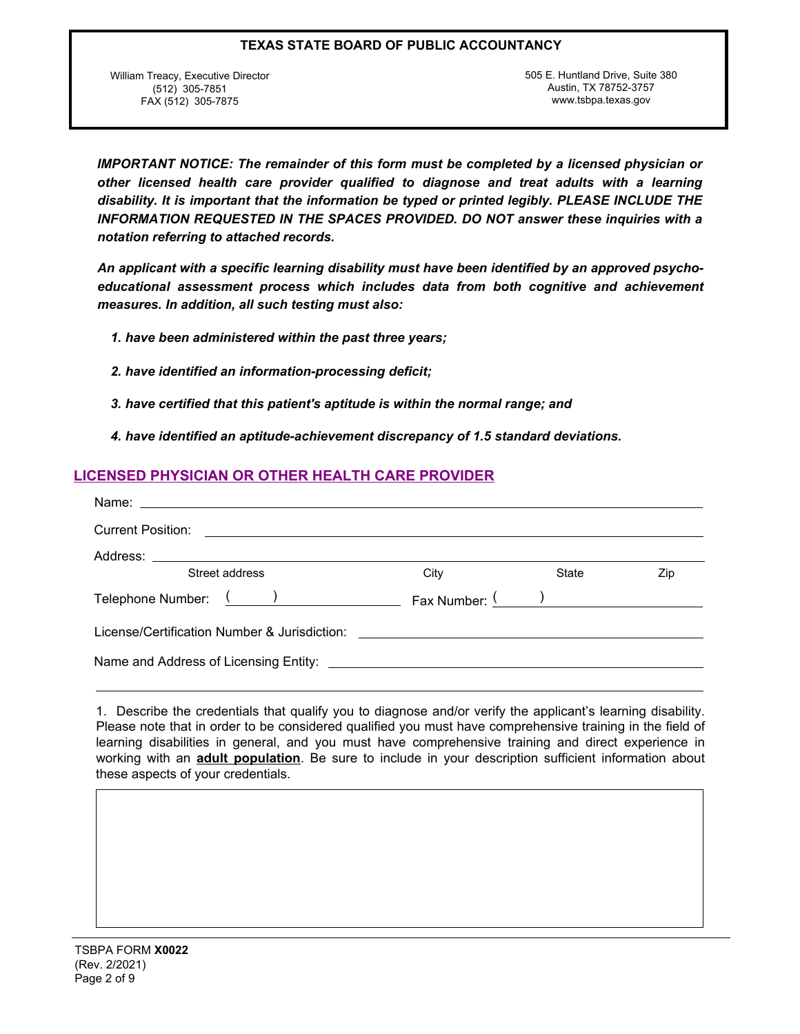William Treacy, Executive Director (512) 305-7851 FAX (512) 305-7875

505 E. Huntland Drive, Suite 380 Austin, TX 78752-3757 www.tsbpa.texas.gov

*IMPORTANT NOTICE: The remainder of this form must be completed by a licensed physician or other licensed health care provider qualified to diagnose and treat adults with a learning disability. It is important that the information be typed or printed legibly. PLEASE INCLUDE THE INFORMATION REQUESTED IN THE SPACES PROVIDED. DO NOT answer these inquiries with a notation referring to attached records.*

*An applicant with a specific learning disability must have been identified by an approved psychoeducational assessment process which includes data from both cognitive and achievement measures. In addition, all such testing must also:*

*1. have been administered within the past three years;*

- *2. have identified an information-processing deficit;*
- *3. have certified that this patient's aptitude is within the normal range; and*
- *4. have identified an aptitude-achievement discrepancy of 1.5 standard deviations.*

# **LICENSED PHYSICIAN OR OTHER HEALTH CARE PROVIDER**

| <b>Current Position:</b><br><u> 1989 - Andrea State Barbara, amerikan personal di sebagai personal di sebagai personal di sebagai personal d</u> |                                         |       |     |
|--------------------------------------------------------------------------------------------------------------------------------------------------|-----------------------------------------|-------|-----|
|                                                                                                                                                  |                                         |       |     |
| Street address                                                                                                                                   | City                                    | State | Zip |
| Telephone Number: ( )                                                                                                                            | Fax Number: $\frac{(\qquad)}{(\qquad)}$ |       |     |
| License/Certification Number & Jurisdiction: ___________________________________                                                                 |                                         |       |     |
|                                                                                                                                                  |                                         |       |     |

1. Describe the credentials that qualify you to diagnose and/or verify the applicant's learning disability. Please note that in order to be considered qualified you must have comprehensive training in the field of learning disabilities in general, and you must have comprehensive training and direct experience in working with an **adult population**. Be sure to include in your description sufficient information about these aspects of your credentials.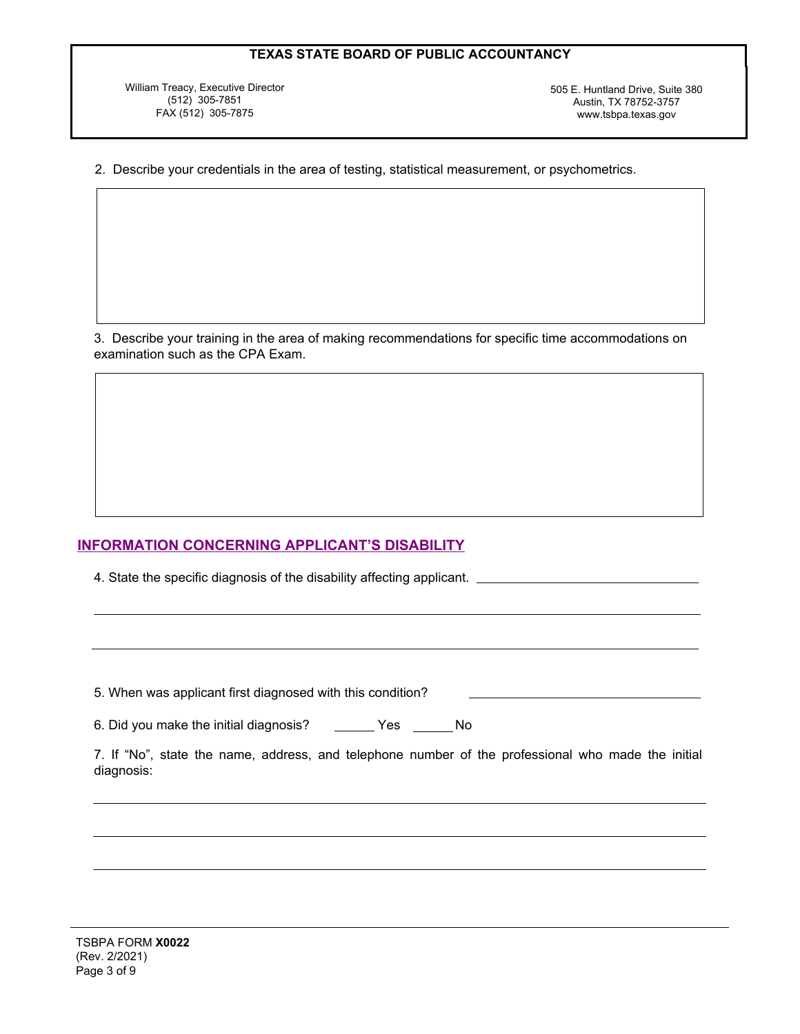William Treacy, Executive Director (512) 305-7851 FAX (512) 305-7875

505 E. Huntland Drive, Suite 380 Austin, TX 78752-3757 www.tsbpa.texas.gov

2. Describe your credentials in the area of testing, statistical measurement, or psychometrics.

3. Describe your training in the area of making recommendations for specific time accommodations on examination such as the CPA Exam.

## **INFORMATION CONCERNING APPLICANT'S DISABILITY**

4. State the specific diagnosis of the disability affecting applicant.

5. When was applicant first diagnosed with this condition?

6. Did you make the initial diagnosis? \_\_\_\_\_\_ Yes \_\_\_\_\_ No

7. If "No", state the name, address, and telephone number of the professional who made the initial diagnosis: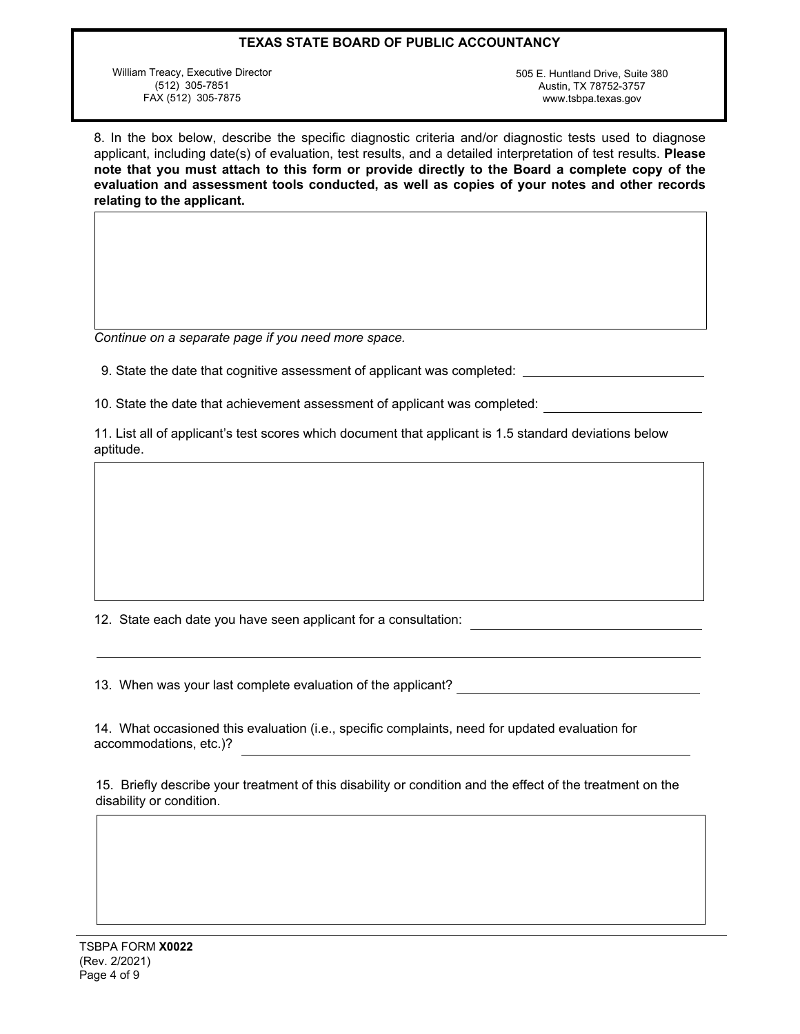William Treacy, Executive Director (512) 305-7851 FAX (512) 305-7875

505 E. Huntland Drive, Suite 380 Austin, TX 78752-3757 www.tsbpa.texas.gov

8. In the box below, describe the specific diagnostic criteria and/or diagnostic tests used to diagnose applicant, including date(s) of evaluation, test results, and a detailed interpretation of test results. **Please note that you must attach to this form or provide directly to the Board a complete copy of the evaluation and assessment tools conducted, as well as copies of your notes and other records relating to the applicant.**

*Continue on a separate page if you need more space.*

9. State the date that cognitive assessment of applicant was completed:

10. State the date that achievement assessment of applicant was completed:

11. List all of applicant's test scores which document that applicant is 1.5 standard deviations below aptitude.

12. State each date you have seen applicant for a consultation:

13. When was your last complete evaluation of the applicant?

14. What occasioned this evaluation (i.e., specific complaints, need for updated evaluation for accommodations, etc.)?

15. Briefly describe your treatment of this disability or condition and the effect of the treatment on the disability or condition.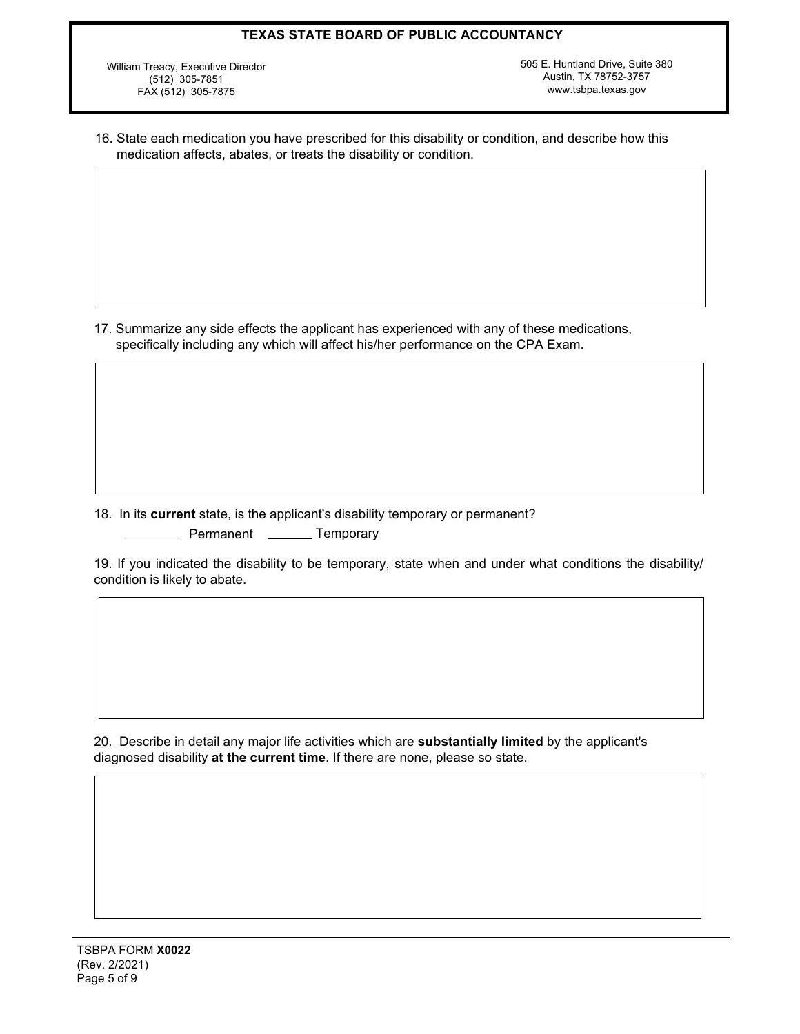William Treacy, Executive Director (512) 305-7851 FAX (512) 305-7875

505 E. Huntland Drive, Suite 380 Austin, TX 78752-3757 www.tsbpa.texas.gov

16. State each medication you have prescribed for this disability or condition, and describe how this medication affects, abates, or treats the disability or condition.

17. Summarize any side effects the applicant has experienced with any of these medications, specifically including any which will affect his/her performance on the CPA Exam.

18. In its **current** state, is the applicant's disability temporary or permanent? Permanent \_\_\_\_\_\_\_ Temporary

19. If you indicated the disability to be temporary, state when and under what conditions the disability/ condition is likely to abate.

20. Describe in detail any major life activities which are **substantially limited** by the applicant's diagnosed disability **at the current time**. If there are none, please so state.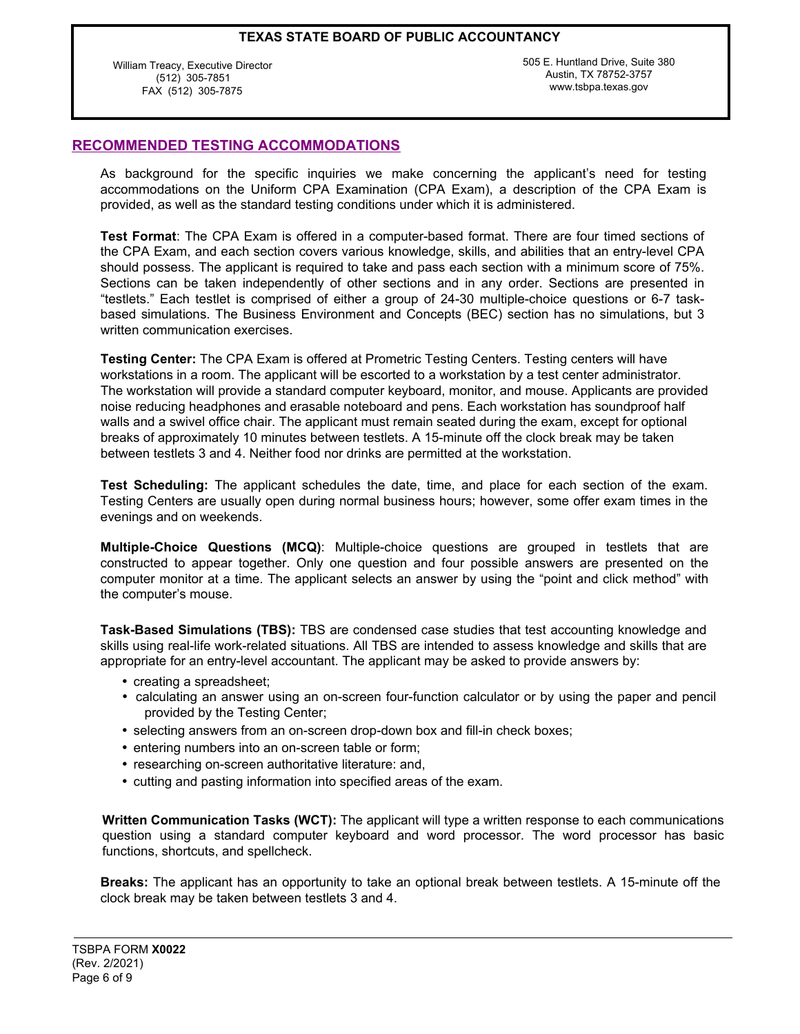William Treacy, Executive Director (512) 305-7851 FAX (512) 305-7875

505 E. Huntland Drive, Suite 380 Austin, TX 78752-3757 www.tsbpa.texas.gov

# **RECOMMENDED TESTING ACCOMMODATIONS**

As background for the specific inquiries we make concerning the applicant's need for testing accommodations on the Uniform CPA Examination (CPA Exam), a description of the CPA Exam is provided, as well as the standard testing conditions under which it is administered.

**Test Format**: The CPA Exam is offered in a computer-based format. There are four timed sections of the CPA Exam, and each section covers various knowledge, skills, and abilities that an entry-level CPA should possess. The applicant is required to take and pass each section with a minimum score of 75%. Sections can be taken independently of other sections and in any order. Sections are presented in "testlets." Each testlet is comprised of either a group of 24-30 multiple-choice questions or 6-7 taskbased simulations. The Business Environment and Concepts (BEC) section has no simulations, but 3 written communication exercises.

**Testing Center:** The CPA Exam is offered at Prometric Testing Centers. Testing centers will have workstations in a room. The applicant will be escorted to a workstation by a test center administrator. The workstation will provide a standard computer keyboard, monitor, and mouse. Applicants are provided noise reducing headphones and erasable noteboard and pens. Each workstation has soundproof half walls and a swivel office chair. The applicant must remain seated during the exam, except for optional breaks of approximately 10 minutes between testlets. A 15-minute off the clock break may be taken between testlets 3 and 4. Neither food nor drinks are permitted at the workstation.

**Test Scheduling:** The applicant schedules the date, time, and place for each section of the exam. Testing Centers are usually open during normal business hours; however, some offer exam times in the evenings and on weekends.

**Multiple-Choice Questions (MCQ)**: Multiple-choice questions are grouped in testlets that are constructed to appear together. Only one question and four possible answers are presented on the computer monitor at a time. The applicant selects an answer by using the "point and click method" with the computer's mouse.

**Task-Based Simulations (TBS):** TBS are condensed case studies that test accounting knowledge and skills using real-life work-related situations. All TBS are intended to assess knowledge and skills that are appropriate for an entry-level accountant. The applicant may be asked to provide answers by:

- creating a spreadsheet;
- calculating an answer using an on-screen four-function calculator or by using the paper and pencil provided by the Testing Center;
- selecting answers from an on-screen drop-down box and fill-in check boxes;
- entering numbers into an on-screen table or form;
- researching on-screen authoritative literature: and,
- cutting and pasting information into specified areas of the exam.

**Written Communication Tasks (WCT):** The applicant will type a written response to each communications question using a standard computer keyboard and word processor. The word processor has basic functions, shortcuts, and spellcheck.

**Breaks:** The applicant has an opportunity to take an optional break between testlets. A 15-minute off the clock break may be taken between testlets 3 and 4.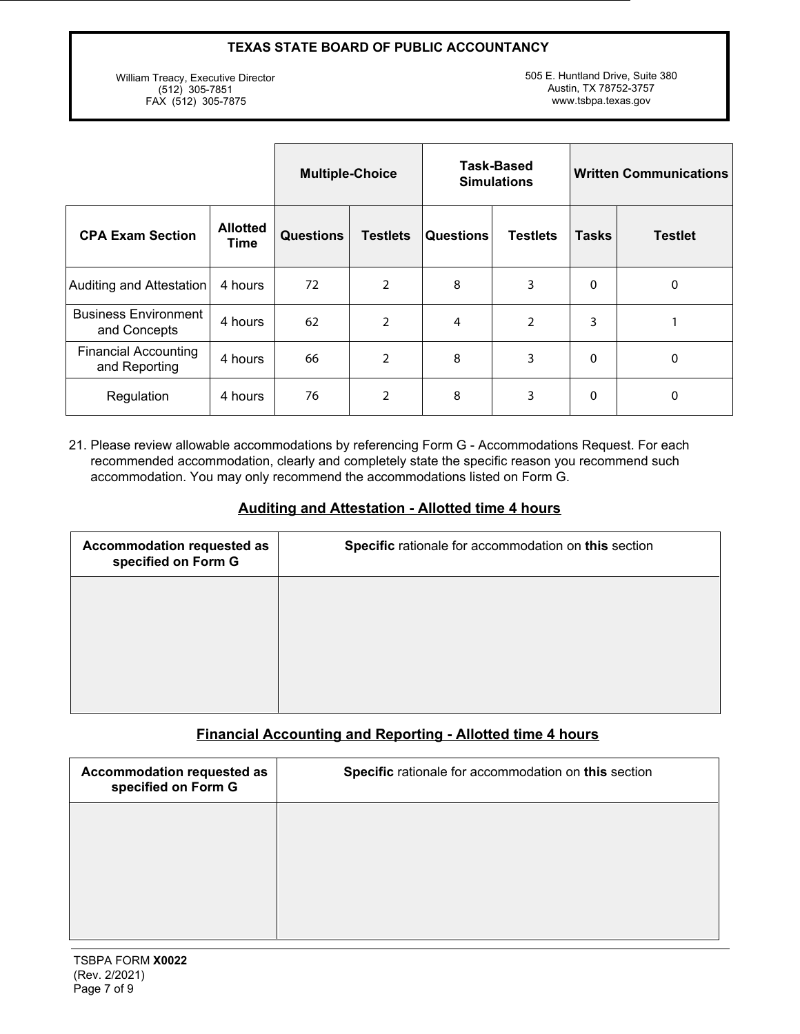William Treacy, Executive Director (512) 305-7851 FAX (512) 305-7875

505 E. Huntland Drive, Suite 380 Austin, TX 78752-3757 www.tsbpa.texas.gov

|                                              |                                | <b>Multiple-Choice</b> |                 | Task-Based<br><b>Simulations</b> |                 | <b>Written Communications</b> |                |
|----------------------------------------------|--------------------------------|------------------------|-----------------|----------------------------------|-----------------|-------------------------------|----------------|
| <b>CPA Exam Section</b>                      | <b>Allotted</b><br><b>Time</b> | <b>Questions</b>       | <b>Testlets</b> | <b>Questions</b>                 | <b>Testlets</b> | <b>Tasks</b>                  | <b>Testlet</b> |
| Auditing and Attestation                     | 4 hours                        | 72                     | 2               | 8                                | 3               | 0                             | 0              |
| <b>Business Environment</b><br>and Concepts  | 4 hours                        | 62                     | 2               | 4                                | $\overline{2}$  | 3                             |                |
| <b>Financial Accounting</b><br>and Reporting | 4 hours                        | 66                     | $\overline{2}$  | 8                                | 3               | 0                             | 0              |
| Regulation                                   | 4 hours                        | 76                     | $\overline{2}$  | 8                                | 3               | 0                             | 0              |

21. Please review allowable accommodations by referencing Form G - Accommodations Request. For each recommended accommodation, clearly and completely state the specific reason you recommend such accommodation. You may only recommend the accommodations listed on Form G.

# **Auditing and Attestation - Allotted time 4 hours**

| Accommodation requested as<br>specified on Form G | Specific rationale for accommodation on this section |
|---------------------------------------------------|------------------------------------------------------|
|                                                   |                                                      |
|                                                   |                                                      |
|                                                   |                                                      |

# **Financial Accounting and Reporting - Allotted time 4 hours**

| Accommodation requested as<br>specified on Form G | Specific rationale for accommodation on this section |
|---------------------------------------------------|------------------------------------------------------|
|                                                   |                                                      |
|                                                   |                                                      |
|                                                   |                                                      |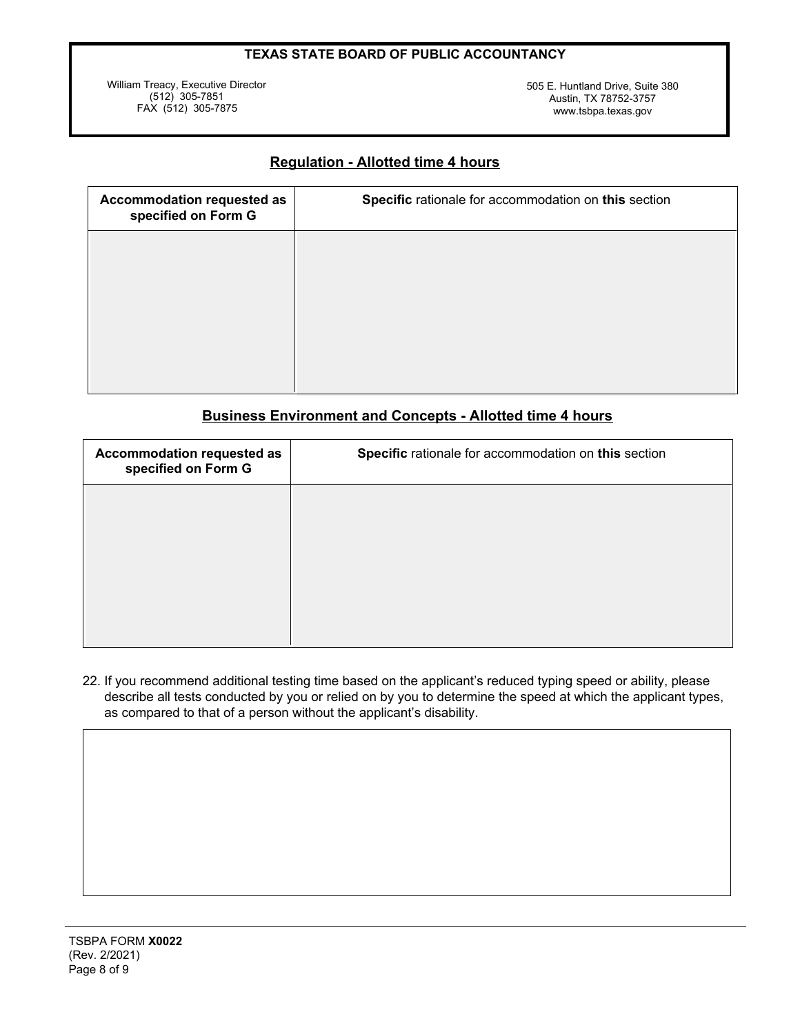William Treacy, Executive Director (512) 305-7851 FAX (512) 305-7875

505 E. Huntland Drive, Suite 380 Austin, TX 78752-3757 www.tsbpa.texas.gov

# **Regulation - Allotted time 4 hours**

| Accommodation requested as<br>specified on Form G | Specific rationale for accommodation on this section |
|---------------------------------------------------|------------------------------------------------------|
|                                                   |                                                      |
|                                                   |                                                      |
|                                                   |                                                      |
|                                                   |                                                      |

# **Business Environment and Concepts - Allotted time 4 hours**

| Accommodation requested as<br>specified on Form G | Specific rationale for accommodation on this section |
|---------------------------------------------------|------------------------------------------------------|
|                                                   |                                                      |
|                                                   |                                                      |
|                                                   |                                                      |
|                                                   |                                                      |

22. If you recommend additional testing time based on the applicant's reduced typing speed or ability, please describe all tests conducted by you or relied on by you to determine the speed at which the applicant types, as compared to that of a person without the applicant's disability.